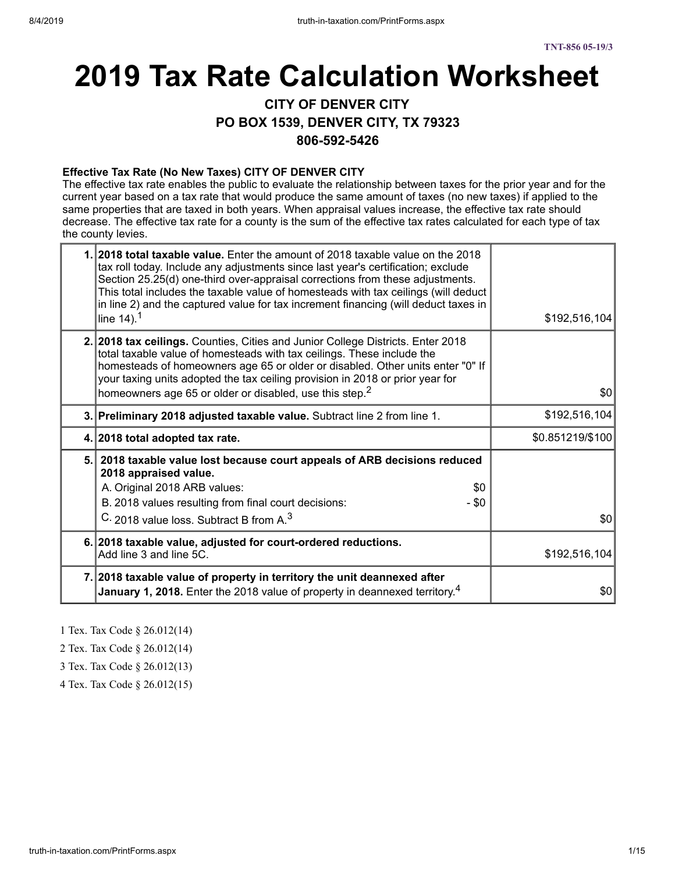# **2019 Tax Rate Calculation Worksheet**

**CITY OF DENVER CITY**

**PO BOX 1539, DENVER CITY, TX 79323**

**806-592-5426**

#### **Effective Tax Rate (No New Taxes) CITY OF DENVER CITY**

The effective tax rate enables the public to evaluate the relationship between taxes for the prior year and for the current year based on a tax rate that would produce the same amount of taxes (no new taxes) if applied to the same properties that are taxed in both years. When appraisal values increase, the effective tax rate should decrease. The effective tax rate for a county is the sum of the effective tax rates calculated for each type of tax the county levies.

| 1.12018 total taxable value. Enter the amount of 2018 taxable value on the 2018<br>tax roll today. Include any adjustments since last year's certification; exclude<br>Section 25.25(d) one-third over-appraisal corrections from these adjustments.<br>This total includes the taxable value of homesteads with tax ceilings (will deduct<br>in line 2) and the captured value for tax increment financing (will deduct taxes in<br>line $14$ ). <sup>1</sup> | \$192,516,104    |
|----------------------------------------------------------------------------------------------------------------------------------------------------------------------------------------------------------------------------------------------------------------------------------------------------------------------------------------------------------------------------------------------------------------------------------------------------------------|------------------|
| 2. 2018 tax ceilings. Counties, Cities and Junior College Districts. Enter 2018<br>total taxable value of homesteads with tax ceilings. These include the<br>homesteads of homeowners age 65 or older or disabled. Other units enter "0" If<br>your taxing units adopted the tax ceiling provision in 2018 or prior year for<br>homeowners age 65 or older or disabled, use this step. <sup>2</sup>                                                            | \$0              |
| 3. Preliminary 2018 adjusted taxable value. Subtract line 2 from line 1.                                                                                                                                                                                                                                                                                                                                                                                       | \$192,516,104    |
| 4. 2018 total adopted tax rate.                                                                                                                                                                                                                                                                                                                                                                                                                                | \$0.851219/\$100 |
| 5. 2018 taxable value lost because court appeals of ARB decisions reduced<br>2018 appraised value.<br>A. Original 2018 ARB values:<br>\$0<br>B. 2018 values resulting from final court decisions:<br>- \$0<br>C. 2018 value loss. Subtract B from A. <sup>3</sup>                                                                                                                                                                                              | \$0              |
|                                                                                                                                                                                                                                                                                                                                                                                                                                                                |                  |
| 6. 2018 taxable value, adjusted for court-ordered reductions.<br>Add line 3 and line 5C.                                                                                                                                                                                                                                                                                                                                                                       | \$192,516,104    |
| 7. 2018 taxable value of property in territory the unit deannexed after<br><b>January 1, 2018.</b> Enter the 2018 value of property in deannexed territory. <sup>4</sup>                                                                                                                                                                                                                                                                                       | \$0              |

1 Tex. Tax Code § 26.012(14)

2 Tex. Tax Code § 26.012(14)

3 Tex. Tax Code § 26.012(13)

4 Tex. Tax Code § 26.012(15)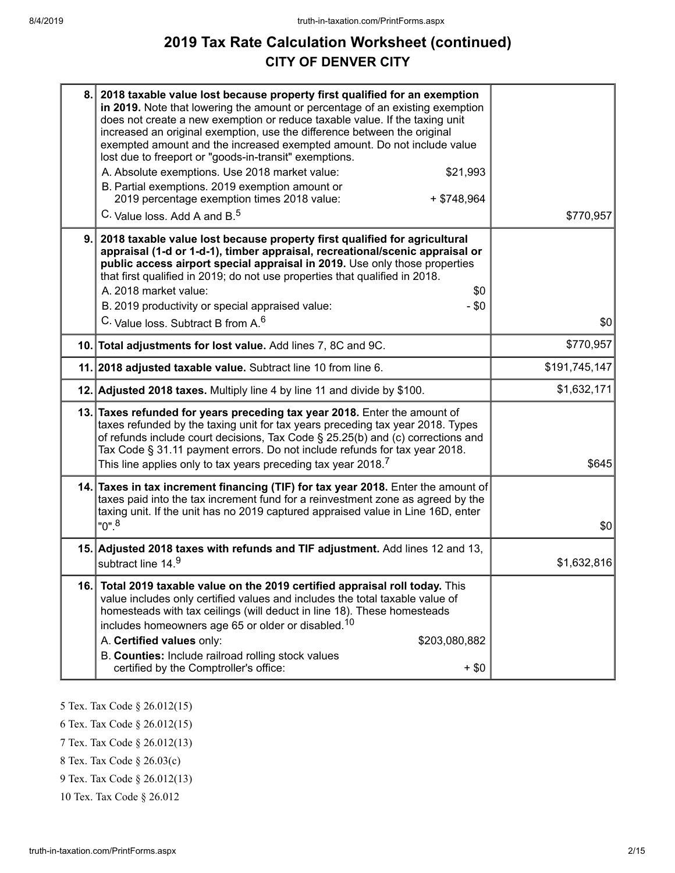## **2019 Tax Rate Calculation Worksheet (continued) CITY OF DENVER CITY**

| 8.  | 2018 taxable value lost because property first qualified for an exemption<br>in 2019. Note that lowering the amount or percentage of an existing exemption<br>does not create a new exemption or reduce taxable value. If the taxing unit<br>increased an original exemption, use the difference between the original<br>exempted amount and the increased exempted amount. Do not include value<br>lost due to freeport or "goods-in-transit" exemptions.<br>A. Absolute exemptions. Use 2018 market value:<br>\$21,993<br>B. Partial exemptions. 2019 exemption amount or<br>2019 percentage exemption times 2018 value:<br>$+$ \$748,964<br>C. Value loss. Add A and B. <sup>5</sup> | \$770,957     |
|-----|-----------------------------------------------------------------------------------------------------------------------------------------------------------------------------------------------------------------------------------------------------------------------------------------------------------------------------------------------------------------------------------------------------------------------------------------------------------------------------------------------------------------------------------------------------------------------------------------------------------------------------------------------------------------------------------------|---------------|
| 9.  | 2018 taxable value lost because property first qualified for agricultural<br>appraisal (1-d or 1-d-1), timber appraisal, recreational/scenic appraisal or<br>public access airport special appraisal in 2019. Use only those properties<br>that first qualified in 2019; do not use properties that qualified in 2018.<br>A. 2018 market value:<br>\$0<br>B. 2019 productivity or special appraised value:<br>- \$0<br>C. Value loss. Subtract B from A. <sup>6</sup>                                                                                                                                                                                                                   | \$0           |
|     | 10. Total adjustments for lost value. Add lines 7, 8C and 9C.                                                                                                                                                                                                                                                                                                                                                                                                                                                                                                                                                                                                                           | \$770,957     |
|     | 11. 2018 adjusted taxable value. Subtract line 10 from line 6.                                                                                                                                                                                                                                                                                                                                                                                                                                                                                                                                                                                                                          | \$191,745,147 |
|     | 12. Adjusted 2018 taxes. Multiply line 4 by line 11 and divide by \$100.                                                                                                                                                                                                                                                                                                                                                                                                                                                                                                                                                                                                                | \$1,632,171   |
|     | 13. Taxes refunded for years preceding tax year 2018. Enter the amount of<br>taxes refunded by the taxing unit for tax years preceding tax year 2018. Types<br>of refunds include court decisions, Tax Code § 25.25(b) and (c) corrections and<br>Tax Code § 31.11 payment errors. Do not include refunds for tax year 2018.<br>This line applies only to tax years preceding tax year 2018. <sup>7</sup>                                                                                                                                                                                                                                                                               | \$645         |
|     | 14. Taxes in tax increment financing (TIF) for tax year 2018. Enter the amount of<br>taxes paid into the tax increment fund for a reinvestment zone as agreed by the<br>taxing unit. If the unit has no 2019 captured appraised value in Line 16D, enter<br>$"0".^8$                                                                                                                                                                                                                                                                                                                                                                                                                    | \$0           |
|     | 15. Adjusted 2018 taxes with refunds and TIF adjustment. Add lines 12 and 13,<br>subtract line 14.9                                                                                                                                                                                                                                                                                                                                                                                                                                                                                                                                                                                     | \$1,632,816   |
| 16. | Total 2019 taxable value on the 2019 certified appraisal roll today. This<br>value includes only certified values and includes the total taxable value of<br>homesteads with tax ceilings (will deduct in line 18). These homesteads<br>includes homeowners age 65 or older or disabled. <sup>10</sup><br>A. Certified values only:<br>\$203,080,882<br>B. Counties: Include railroad rolling stock values<br>certified by the Comptroller's office:<br>$+$ \$0                                                                                                                                                                                                                         |               |

5 Tex. Tax Code § 26.012(15)

6 Tex. Tax Code § 26.012(15)

7 Tex. Tax Code § 26.012(13)

8 Tex. Tax Code § 26.03(c)

9 Tex. Tax Code § 26.012(13)

10 Tex. Tax Code § 26.012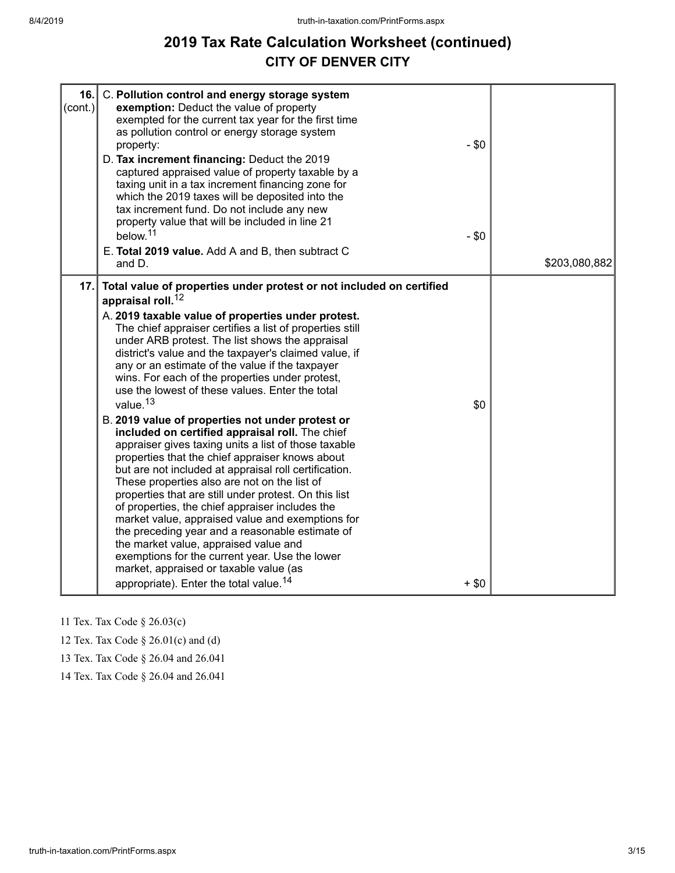## **2019 Tax Rate Calculation Worksheet (continued) CITY OF DENVER CITY**

| 16.<br>$\text{(cont.)}$ | C. Pollution control and energy storage system<br>exemption: Deduct the value of property<br>exempted for the current tax year for the first time<br>as pollution control or energy storage system<br>property:<br>D. Tax increment financing: Deduct the 2019<br>captured appraised value of property taxable by a<br>taxing unit in a tax increment financing zone for<br>which the 2019 taxes will be deposited into the<br>tax increment fund. Do not include any new<br>property value that will be included in line 21<br>below. <sup>11</sup><br>E. Total 2019 value. Add A and B, then subtract C<br>and D.                                                                                                                                                                                                                                                                                                                                                                                                                                                                                                                                                                                                                                           | $-$ \$0<br>$-$ \$0 | \$203,080,882 |
|-------------------------|---------------------------------------------------------------------------------------------------------------------------------------------------------------------------------------------------------------------------------------------------------------------------------------------------------------------------------------------------------------------------------------------------------------------------------------------------------------------------------------------------------------------------------------------------------------------------------------------------------------------------------------------------------------------------------------------------------------------------------------------------------------------------------------------------------------------------------------------------------------------------------------------------------------------------------------------------------------------------------------------------------------------------------------------------------------------------------------------------------------------------------------------------------------------------------------------------------------------------------------------------------------|--------------------|---------------|
| 17.                     | Total value of properties under protest or not included on certified<br>appraisal roll. <sup>12</sup><br>A. 2019 taxable value of properties under protest.<br>The chief appraiser certifies a list of properties still<br>under ARB protest. The list shows the appraisal<br>district's value and the taxpayer's claimed value, if<br>any or an estimate of the value if the taxpayer<br>wins. For each of the properties under protest,<br>use the lowest of these values. Enter the total<br>value. <sup>13</sup><br>B. 2019 value of properties not under protest or<br>included on certified appraisal roll. The chief<br>appraiser gives taxing units a list of those taxable<br>properties that the chief appraiser knows about<br>but are not included at appraisal roll certification.<br>These properties also are not on the list of<br>properties that are still under protest. On this list<br>of properties, the chief appraiser includes the<br>market value, appraised value and exemptions for<br>the preceding year and a reasonable estimate of<br>the market value, appraised value and<br>exemptions for the current year. Use the lower<br>market, appraised or taxable value (as<br>appropriate). Enter the total value. <sup>14</sup> | \$0<br>$+$ \$0     |               |

11 Tex. Tax Code § 26.03(c)

12 Tex. Tax Code § 26.01(c) and (d)

13 Tex. Tax Code § 26.04 and 26.041

14 Tex. Tax Code § 26.04 and 26.041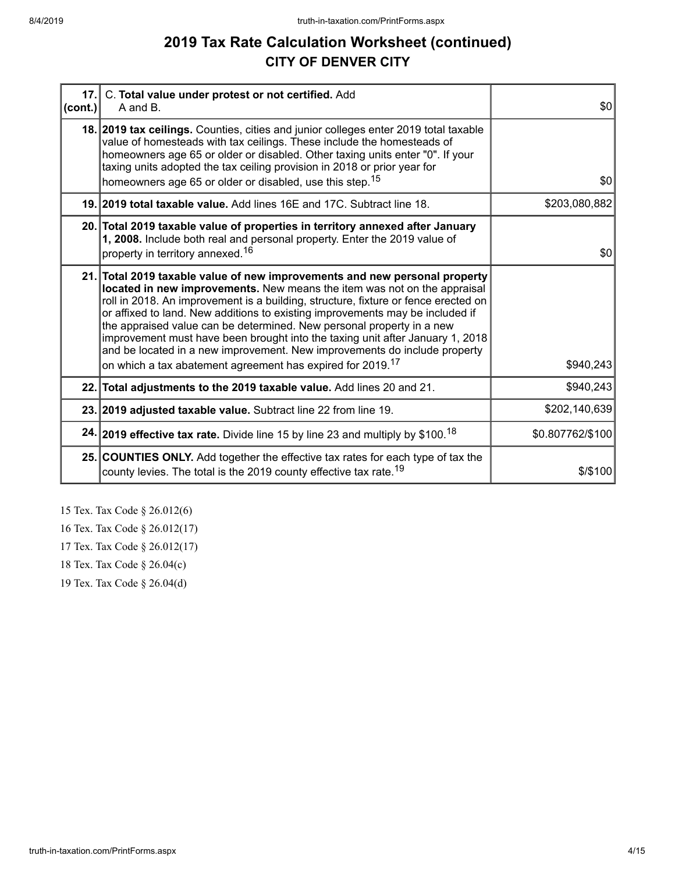## **2019 Tax Rate Calculation Worksheet (continued) CITY OF DENVER CITY**

| 17.1<br>$ cont.$ ) | C. Total value under protest or not certified. Add<br>A and B.                                                                                                                                                                                                                                                                                                                                                                                                                                                                                                       | \$0              |
|--------------------|----------------------------------------------------------------------------------------------------------------------------------------------------------------------------------------------------------------------------------------------------------------------------------------------------------------------------------------------------------------------------------------------------------------------------------------------------------------------------------------------------------------------------------------------------------------------|------------------|
|                    | 18. 2019 tax ceilings. Counties, cities and junior colleges enter 2019 total taxable<br>value of homesteads with tax ceilings. These include the homesteads of<br>homeowners age 65 or older or disabled. Other taxing units enter "0". If your<br>taxing units adopted the tax ceiling provision in 2018 or prior year for                                                                                                                                                                                                                                          | \$0              |
|                    | homeowners age 65 or older or disabled, use this step. <sup>15</sup><br>19. 2019 total taxable value. Add lines 16E and 17C. Subtract line 18.                                                                                                                                                                                                                                                                                                                                                                                                                       | \$203,080,882    |
|                    |                                                                                                                                                                                                                                                                                                                                                                                                                                                                                                                                                                      |                  |
|                    | 20. Total 2019 taxable value of properties in territory annexed after January<br>1, 2008. Include both real and personal property. Enter the 2019 value of<br>property in territory annexed. <sup>16</sup>                                                                                                                                                                                                                                                                                                                                                           | \$0              |
|                    |                                                                                                                                                                                                                                                                                                                                                                                                                                                                                                                                                                      |                  |
|                    | 21. Total 2019 taxable value of new improvements and new personal property<br>located in new improvements. New means the item was not on the appraisal<br>roll in 2018. An improvement is a building, structure, fixture or fence erected on<br>or affixed to land. New additions to existing improvements may be included if<br>the appraised value can be determined. New personal property in a new<br>improvement must have been brought into the taxing unit after January 1, 2018<br>and be located in a new improvement. New improvements do include property |                  |
|                    | on which a tax abatement agreement has expired for 2019. <sup>17</sup>                                                                                                                                                                                                                                                                                                                                                                                                                                                                                               | \$940,243        |
|                    | 22. Total adjustments to the 2019 taxable value. Add lines 20 and 21.                                                                                                                                                                                                                                                                                                                                                                                                                                                                                                | \$940,243        |
|                    | 23. 2019 adjusted taxable value. Subtract line 22 from line 19.                                                                                                                                                                                                                                                                                                                                                                                                                                                                                                      | \$202,140,639    |
|                    | 24. 2019 effective tax rate. Divide line 15 by line 23 and multiply by \$100. <sup>18</sup>                                                                                                                                                                                                                                                                                                                                                                                                                                                                          | \$0.807762/\$100 |
|                    | 25. COUNTIES ONLY. Add together the effective tax rates for each type of tax the<br>county levies. The total is the 2019 county effective tax rate. <sup>19</sup>                                                                                                                                                                                                                                                                                                                                                                                                    | \$/\$100         |

15 Tex. Tax Code § 26.012(6)

16 Tex. Tax Code § 26.012(17)

17 Tex. Tax Code § 26.012(17)

18 Tex. Tax Code § 26.04(c)

19 Tex. Tax Code § 26.04(d)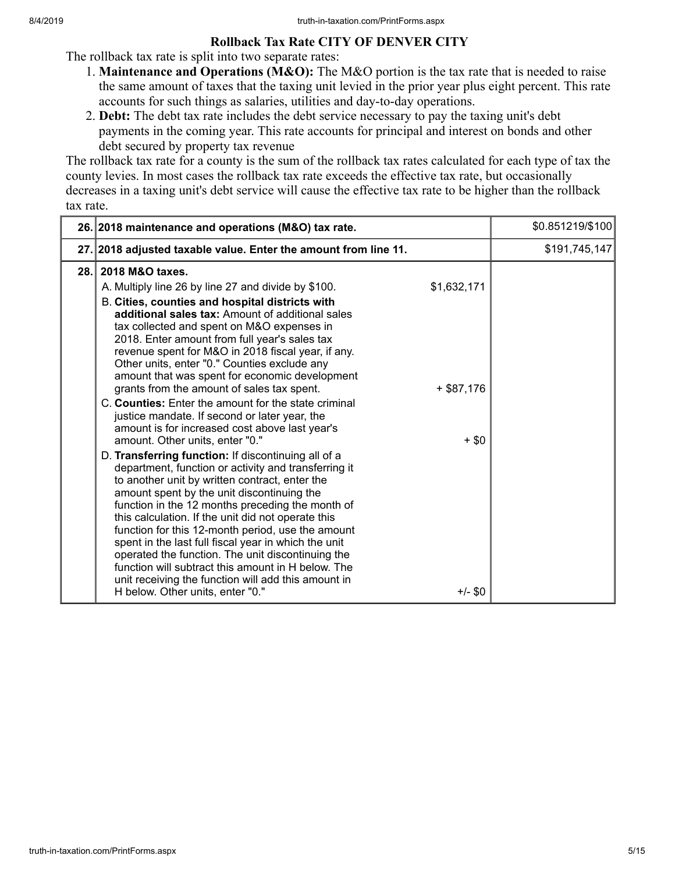### **Rollback Tax Rate CITY OF DENVER CITY**

The rollback tax rate is split into two separate rates:

- 1. **Maintenance and Operations (M&O):** The M&O portion is the tax rate that is needed to raise the same amount of taxes that the taxing unit levied in the prior year plus eight percent. This rate accounts for such things as salaries, utilities and day-to-day operations.
- 2. **Debt:** The debt tax rate includes the debt service necessary to pay the taxing unit's debt payments in the coming year. This rate accounts for principal and interest on bonds and other debt secured by property tax revenue

The rollback tax rate for a county is the sum of the rollback tax rates calculated for each type of tax the county levies. In most cases the rollback tax rate exceeds the effective tax rate, but occasionally decreases in a taxing unit's debt service will cause the effective tax rate to be higher than the rollback tax rate.

|      | 26. 2018 maintenance and operations (M&O) tax rate.                                                                                                                                                                                                                                                                                                                                                                                                                                                                                                                                                                                                                                                                                                                                                                                                                                                                                                                                                                                                                                                                                                                                                                                                                         | \$0.851219/\$100 |
|------|-----------------------------------------------------------------------------------------------------------------------------------------------------------------------------------------------------------------------------------------------------------------------------------------------------------------------------------------------------------------------------------------------------------------------------------------------------------------------------------------------------------------------------------------------------------------------------------------------------------------------------------------------------------------------------------------------------------------------------------------------------------------------------------------------------------------------------------------------------------------------------------------------------------------------------------------------------------------------------------------------------------------------------------------------------------------------------------------------------------------------------------------------------------------------------------------------------------------------------------------------------------------------------|------------------|
|      | 27. 2018 adjusted taxable value. Enter the amount from line 11.                                                                                                                                                                                                                                                                                                                                                                                                                                                                                                                                                                                                                                                                                                                                                                                                                                                                                                                                                                                                                                                                                                                                                                                                             | \$191,745,147    |
| 28.1 | 2018 M&O taxes.<br>\$1,632,171<br>A. Multiply line 26 by line 27 and divide by \$100.<br>B. Cities, counties and hospital districts with<br>additional sales tax: Amount of additional sales<br>tax collected and spent on M&O expenses in<br>2018. Enter amount from full year's sales tax<br>revenue spent for M&O in 2018 fiscal year, if any.<br>Other units, enter "0." Counties exclude any<br>amount that was spent for economic development<br>grants from the amount of sales tax spent.<br>$+$ \$87,176<br>C. Counties: Enter the amount for the state criminal<br>justice mandate. If second or later year, the<br>amount is for increased cost above last year's<br>amount. Other units, enter "0."<br>$+$ \$0<br>D. Transferring function: If discontinuing all of a<br>department, function or activity and transferring it<br>to another unit by written contract, enter the<br>amount spent by the unit discontinuing the<br>function in the 12 months preceding the month of<br>this calculation. If the unit did not operate this<br>function for this 12-month period, use the amount<br>spent in the last full fiscal year in which the unit<br>operated the function. The unit discontinuing the<br>function will subtract this amount in H below. The |                  |
|      | unit receiving the function will add this amount in<br>$+/-$ \$0<br>H below. Other units, enter "0."                                                                                                                                                                                                                                                                                                                                                                                                                                                                                                                                                                                                                                                                                                                                                                                                                                                                                                                                                                                                                                                                                                                                                                        |                  |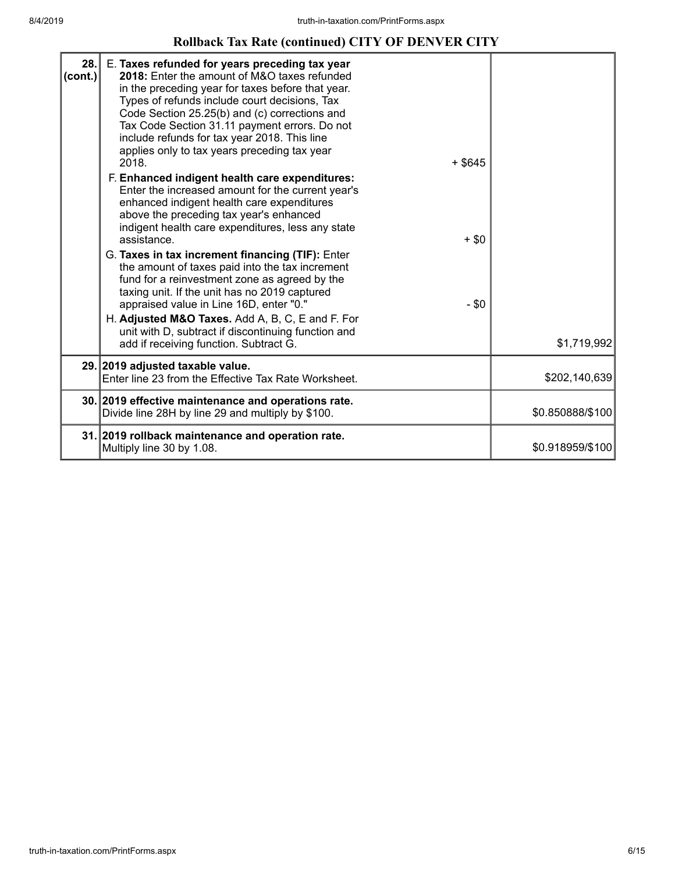## **Rollback Tax Rate (continued) CITY OF DENVER CITY**

| 28.<br>(cont.) | E. Taxes refunded for years preceding tax year<br>2018: Enter the amount of M&O taxes refunded<br>in the preceding year for taxes before that year.<br>Types of refunds include court decisions, Tax<br>Code Section 25.25(b) and (c) corrections and<br>Tax Code Section 31.11 payment errors. Do not<br>include refunds for tax year 2018. This line<br>applies only to tax years preceding tax year<br>2018.<br>$+$ \$645<br>F. Enhanced indigent health care expenditures:<br>Enter the increased amount for the current year's<br>enhanced indigent health care expenditures<br>above the preceding tax year's enhanced<br>indigent health care expenditures, less any state<br>assistance.<br>$+$ \$0<br>G. Taxes in tax increment financing (TIF): Enter<br>the amount of taxes paid into the tax increment<br>fund for a reinvestment zone as agreed by the<br>taxing unit. If the unit has no 2019 captured<br>$-$ \$0<br>appraised value in Line 16D, enter "0."<br>H. Adjusted M&O Taxes. Add A, B, C, E and F. For<br>unit with D, subtract if discontinuing function and<br>add if receiving function. Subtract G. | \$1,719,992      |
|----------------|---------------------------------------------------------------------------------------------------------------------------------------------------------------------------------------------------------------------------------------------------------------------------------------------------------------------------------------------------------------------------------------------------------------------------------------------------------------------------------------------------------------------------------------------------------------------------------------------------------------------------------------------------------------------------------------------------------------------------------------------------------------------------------------------------------------------------------------------------------------------------------------------------------------------------------------------------------------------------------------------------------------------------------------------------------------------------------------------------------------------------------|------------------|
|                | 29. 2019 adjusted taxable value.                                                                                                                                                                                                                                                                                                                                                                                                                                                                                                                                                                                                                                                                                                                                                                                                                                                                                                                                                                                                                                                                                                |                  |
|                | Enter line 23 from the Effective Tax Rate Worksheet.                                                                                                                                                                                                                                                                                                                                                                                                                                                                                                                                                                                                                                                                                                                                                                                                                                                                                                                                                                                                                                                                            | \$202,140,639    |
|                | 30. 2019 effective maintenance and operations rate.<br>Divide line 28H by line 29 and multiply by \$100.                                                                                                                                                                                                                                                                                                                                                                                                                                                                                                                                                                                                                                                                                                                                                                                                                                                                                                                                                                                                                        | \$0.850888/\$100 |
|                | 31. 2019 rollback maintenance and operation rate.<br>Multiply line 30 by 1.08.                                                                                                                                                                                                                                                                                                                                                                                                                                                                                                                                                                                                                                                                                                                                                                                                                                                                                                                                                                                                                                                  | \$0.918959/\$100 |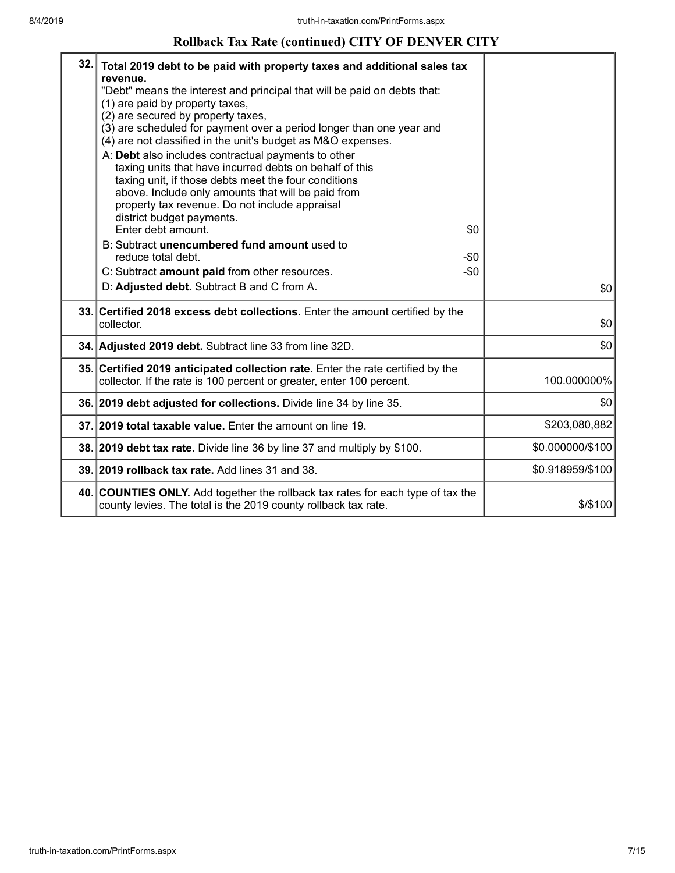## **Rollback Tax Rate (continued) CITY OF DENVER CITY**

| 32. | Total 2019 debt to be paid with property taxes and additional sales tax<br>revenue.<br>"Debt" means the interest and principal that will be paid on debts that:<br>(1) are paid by property taxes,<br>(2) are secured by property taxes,<br>(3) are scheduled for payment over a period longer than one year and<br>(4) are not classified in the unit's budget as M&O expenses.<br>A: Debt also includes contractual payments to other<br>taxing units that have incurred debts on behalf of this<br>taxing unit, if those debts meet the four conditions<br>above. Include only amounts that will be paid from<br>property tax revenue. Do not include appraisal<br>district budget payments.<br>Enter debt amount.<br>B: Subtract unencumbered fund amount used to<br>reduce total debt.<br>C: Subtract amount paid from other resources. | \$0<br>$-\$0$<br>$-\$0$ |                  |
|-----|----------------------------------------------------------------------------------------------------------------------------------------------------------------------------------------------------------------------------------------------------------------------------------------------------------------------------------------------------------------------------------------------------------------------------------------------------------------------------------------------------------------------------------------------------------------------------------------------------------------------------------------------------------------------------------------------------------------------------------------------------------------------------------------------------------------------------------------------|-------------------------|------------------|
|     | D: Adjusted debt. Subtract B and C from A.                                                                                                                                                                                                                                                                                                                                                                                                                                                                                                                                                                                                                                                                                                                                                                                                   |                         | \$0              |
|     | 33. Certified 2018 excess debt collections. Enter the amount certified by the<br>collector.                                                                                                                                                                                                                                                                                                                                                                                                                                                                                                                                                                                                                                                                                                                                                  |                         | \$0              |
|     | 34. Adjusted 2019 debt. Subtract line 33 from line 32D.                                                                                                                                                                                                                                                                                                                                                                                                                                                                                                                                                                                                                                                                                                                                                                                      |                         | \$0              |
|     | 35. Certified 2019 anticipated collection rate. Enter the rate certified by the<br>collector. If the rate is 100 percent or greater, enter 100 percent.                                                                                                                                                                                                                                                                                                                                                                                                                                                                                                                                                                                                                                                                                      |                         | 100.000000%      |
|     | 36. 2019 debt adjusted for collections. Divide line 34 by line 35.                                                                                                                                                                                                                                                                                                                                                                                                                                                                                                                                                                                                                                                                                                                                                                           |                         | \$0              |
|     | 37. 2019 total taxable value. Enter the amount on line 19.                                                                                                                                                                                                                                                                                                                                                                                                                                                                                                                                                                                                                                                                                                                                                                                   |                         | \$203,080,882    |
|     | 38. 2019 debt tax rate. Divide line 36 by line 37 and multiply by \$100.                                                                                                                                                                                                                                                                                                                                                                                                                                                                                                                                                                                                                                                                                                                                                                     |                         | \$0.000000/\$100 |
|     | 39. 2019 rollback tax rate. Add lines 31 and 38.                                                                                                                                                                                                                                                                                                                                                                                                                                                                                                                                                                                                                                                                                                                                                                                             |                         | \$0.918959/\$100 |
|     | 40. COUNTIES ONLY. Add together the rollback tax rates for each type of tax the<br>county levies. The total is the 2019 county rollback tax rate.                                                                                                                                                                                                                                                                                                                                                                                                                                                                                                                                                                                                                                                                                            |                         | $$$ /\$100       |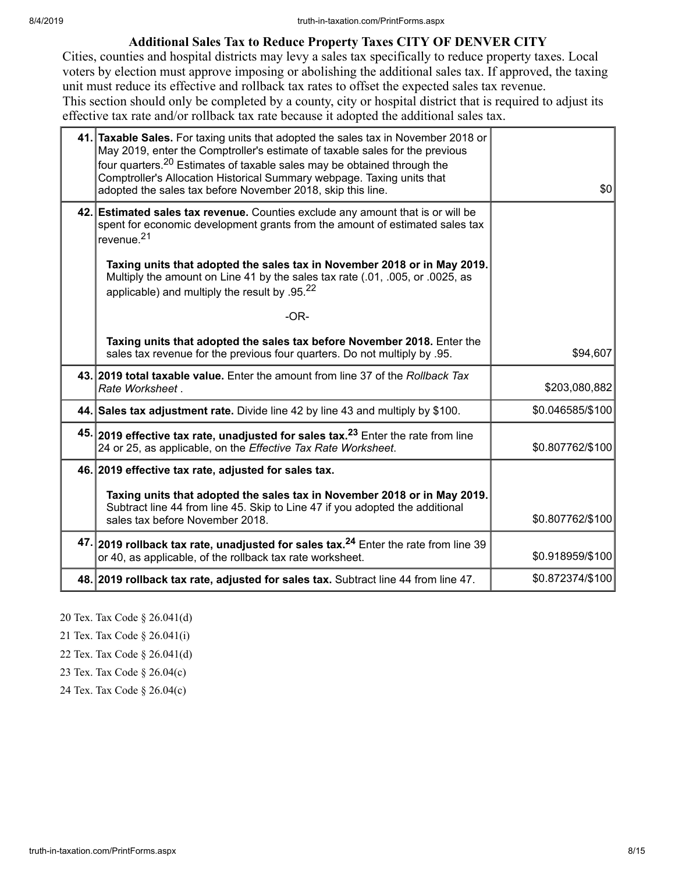### **Additional Sales Tax to Reduce Property Taxes CITY OF DENVER CITY**

Cities, counties and hospital districts may levy a sales tax specifically to reduce property taxes. Local voters by election must approve imposing or abolishing the additional sales tax. If approved, the taxing unit must reduce its effective and rollback tax rates to offset the expected sales tax revenue. This section should only be completed by a county, city or hospital district that is required to adjust its effective tax rate and/or rollback tax rate because it adopted the additional sales tax.

| 41. Taxable Sales. For taxing units that adopted the sales tax in November 2018 or<br>May 2019, enter the Comptroller's estimate of taxable sales for the previous<br>four quarters. <sup>20</sup> Estimates of taxable sales may be obtained through the<br>Comptroller's Allocation Historical Summary webpage. Taxing units that<br>adopted the sales tax before November 2018, skip this line. | \$0              |
|----------------------------------------------------------------------------------------------------------------------------------------------------------------------------------------------------------------------------------------------------------------------------------------------------------------------------------------------------------------------------------------------------|------------------|
| 42. Estimated sales tax revenue. Counties exclude any amount that is or will be<br>spent for economic development grants from the amount of estimated sales tax<br>revenue. <sup>21</sup>                                                                                                                                                                                                          |                  |
| Taxing units that adopted the sales tax in November 2018 or in May 2019.<br>Multiply the amount on Line 41 by the sales tax rate (.01, .005, or .0025, as<br>applicable) and multiply the result by $.95^{22}$                                                                                                                                                                                     |                  |
| $-OR-$                                                                                                                                                                                                                                                                                                                                                                                             |                  |
| Taxing units that adopted the sales tax before November 2018. Enter the<br>sales tax revenue for the previous four quarters. Do not multiply by .95.                                                                                                                                                                                                                                               | \$94,607         |
| 43. 2019 total taxable value. Enter the amount from line 37 of the Rollback Tax<br>Rate Worksheet.                                                                                                                                                                                                                                                                                                 | \$203,080,882    |
| 44. Sales tax adjustment rate. Divide line 42 by line 43 and multiply by \$100.                                                                                                                                                                                                                                                                                                                    | \$0.046585/\$100 |
| 45. 2019 effective tax rate, unadjusted for sales tax. <sup>23</sup> Enter the rate from line<br>24 or 25, as applicable, on the Effective Tax Rate Worksheet.                                                                                                                                                                                                                                     | \$0.807762/\$100 |
| 46. 2019 effective tax rate, adjusted for sales tax.                                                                                                                                                                                                                                                                                                                                               |                  |
| Taxing units that adopted the sales tax in November 2018 or in May 2019.<br>Subtract line 44 from line 45. Skip to Line 47 if you adopted the additional<br>sales tax before November 2018.                                                                                                                                                                                                        | \$0.807762/\$100 |
| 47. 2019 rollback tax rate, unadjusted for sales tax. <sup>24</sup> Enter the rate from line 39<br>or 40, as applicable, of the rollback tax rate worksheet.                                                                                                                                                                                                                                       | \$0.918959/\$100 |
| 48. 2019 rollback tax rate, adjusted for sales tax. Subtract line 44 from line 47.                                                                                                                                                                                                                                                                                                                 | \$0.872374/\$100 |

20 Tex. Tax Code § 26.041(d)

21 Tex. Tax Code § 26.041(i)

22 Tex. Tax Code § 26.041(d)

23 Tex. Tax Code § 26.04(c)

24 Tex. Tax Code § 26.04(c)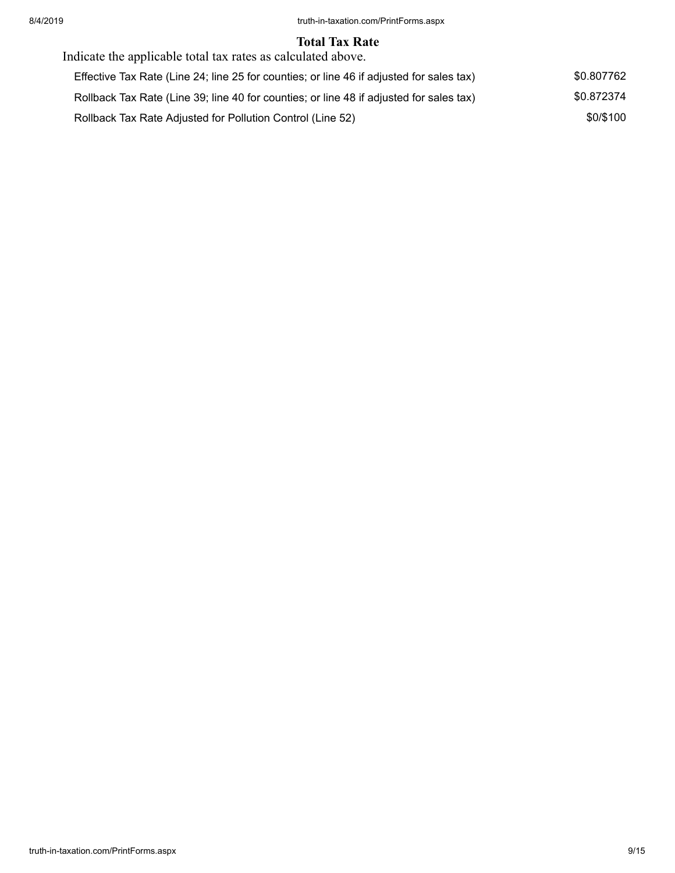#### **Total Tax Rate**

| Indicate the applicable total tax rates as calculated above.                             |            |  |  |  |
|------------------------------------------------------------------------------------------|------------|--|--|--|
| Effective Tax Rate (Line 24; line 25 for counties; or line 46 if adjusted for sales tax) | \$0.807762 |  |  |  |
| Rollback Tax Rate (Line 39; line 40 for counties; or line 48 if adjusted for sales tax)  | \$0.872374 |  |  |  |
| Rollback Tax Rate Adjusted for Pollution Control (Line 52)                               | \$0/\$100  |  |  |  |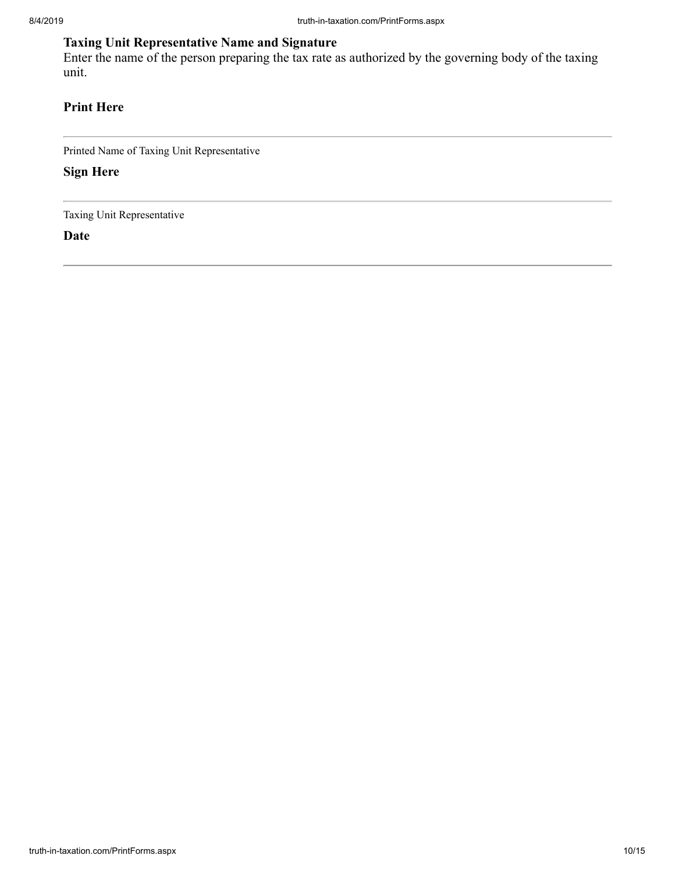## **Taxing Unit Representative Name and Signature**

Enter the name of the person preparing the tax rate as authorized by the governing body of the taxing unit.

## **Print Here**

Printed Name of Taxing Unit Representative

**Sign Here**

Taxing Unit Representative

**Date**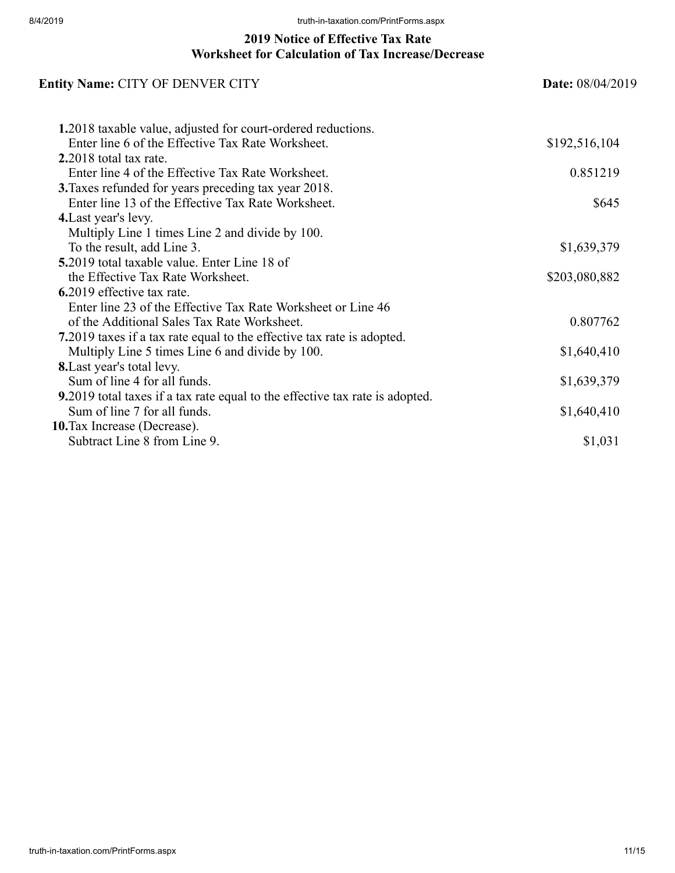## **2019 Notice of Effective Tax Rate Worksheet for Calculation of Tax Increase/Decrease**

| <b>Entity Name: CITY OF DENVER CITY</b>                                      | <b>Date:</b> 08/04/2019 |  |
|------------------------------------------------------------------------------|-------------------------|--|
| 1.2018 taxable value, adjusted for court-ordered reductions.                 |                         |  |
| Enter line 6 of the Effective Tax Rate Worksheet.                            | \$192,516,104           |  |
| $2.2018$ total tax rate.                                                     |                         |  |
| Enter line 4 of the Effective Tax Rate Worksheet.                            | 0.851219                |  |
| 3. Taxes refunded for years preceding tax year 2018.                         |                         |  |
| Enter line 13 of the Effective Tax Rate Worksheet.                           | \$645                   |  |
| 4. Last year's levy.                                                         |                         |  |
| Multiply Line 1 times Line 2 and divide by 100.                              |                         |  |
| To the result, add Line 3.                                                   | \$1,639,379             |  |
| <b>5.2019</b> total taxable value. Enter Line 18 of                          |                         |  |
| the Effective Tax Rate Worksheet.                                            | \$203,080,882           |  |
| 6.2019 effective tax rate.                                                   |                         |  |
| Enter line 23 of the Effective Tax Rate Worksheet or Line 46                 |                         |  |
| of the Additional Sales Tax Rate Worksheet.                                  | 0.807762                |  |
| 7.2019 taxes if a tax rate equal to the effective tax rate is adopted.       |                         |  |
| Multiply Line 5 times Line 6 and divide by 100.                              | \$1,640,410             |  |
| 8. Last year's total levy.                                                   |                         |  |
| Sum of line 4 for all funds.                                                 | \$1,639,379             |  |
| 9.2019 total taxes if a tax rate equal to the effective tax rate is adopted. |                         |  |
| Sum of line 7 for all funds.                                                 | \$1,640,410             |  |
| 10. Tax Increase (Decrease).                                                 |                         |  |
| Subtract Line 8 from Line 9.                                                 | \$1,031                 |  |
|                                                                              |                         |  |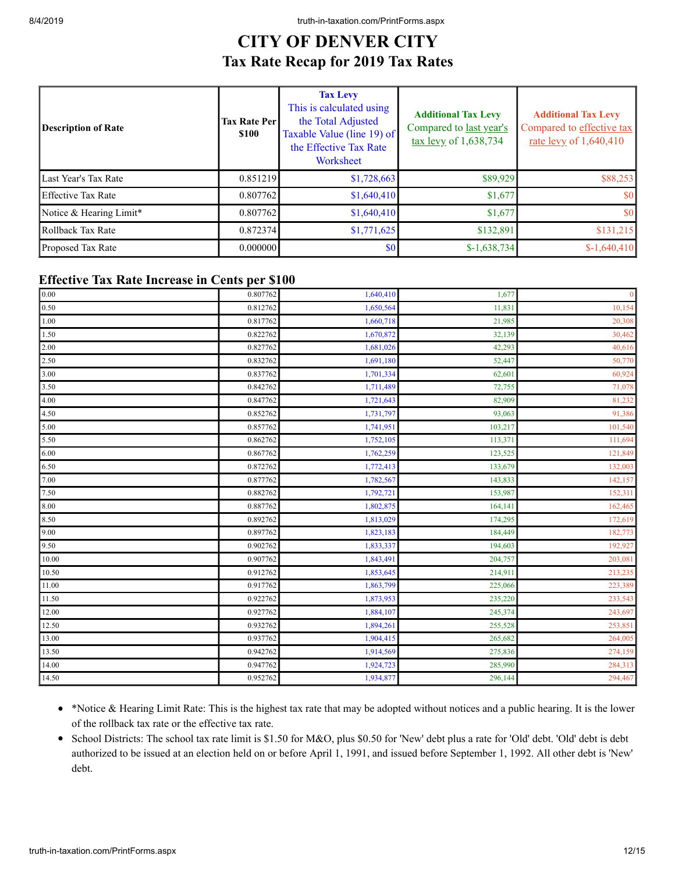## **CITY OF DENVER CITY Tax Rate Recap for 2019 Tax Rates**

| <b>Description of Rate</b> | <b>Tax Rate Per</b><br><b>\$100</b> | <b>Tax Levy</b><br>This is calculated using<br>the Total Adjusted<br>Taxable Value (line 19) of<br>the Effective Tax Rate<br>Worksheet | <b>Additional Tax Levy</b><br>Compared to last year's<br>$\frac{\text{tax} \text{levy}}{1,638,734}$ | <b>Additional Tax Levy</b><br>Compared to effective tax<br>rate levy of $1,640,410$ |
|----------------------------|-------------------------------------|----------------------------------------------------------------------------------------------------------------------------------------|-----------------------------------------------------------------------------------------------------|-------------------------------------------------------------------------------------|
| Last Year's Tax Rate       | 0.851219                            | \$1,728,663                                                                                                                            | \$89,929                                                                                            | \$88,253                                                                            |
| <b>Effective Tax Rate</b>  | 0.807762                            | \$1,640,410                                                                                                                            | \$1,677                                                                                             | \$0                                                                                 |
| Notice & Hearing Limit*    | 0.807762                            | \$1,640,410                                                                                                                            | \$1,677                                                                                             | \$0                                                                                 |
| Rollback Tax Rate          | 0.872374                            | \$1,771,625                                                                                                                            | \$132,891                                                                                           | \$131,215                                                                           |
| <b>Proposed Tax Rate</b>   | 0.000000                            | \$0                                                                                                                                    | $$-1,638,734$                                                                                       | $$-1,640,410$                                                                       |

#### **Effective Tax Rate Increase in Cents per \$100**

| 0.00         | 0.807762 | 1,640,410 | 1,677   | $\mathbf{0}$ |
|--------------|----------|-----------|---------|--------------|
| 0.50         | 0.812762 | 1,650,564 | 11,831  | 10,154       |
| 1.00         | 0.817762 | 1,660,718 | 21,985  | 20,308       |
| 1.50         | 0.822762 | 1,670,872 | 32,139  | 30,462       |
| 2.00         | 0.827762 | 1,681,026 | 42,293  | 40,616       |
| 2.50         | 0.832762 | 1,691,180 | 52,447  | 50,770       |
| 3.00         | 0.837762 | 1,701,334 | 62,601  | 60,924       |
| 3.50         | 0.842762 | 1,711,489 | 72,755  | 71,078       |
| 4.00         | 0.847762 | 1,721,643 | 82,909  | 81,232       |
| 4.50         | 0.852762 | 1,731,797 | 93,063  | 91,386       |
| $\vert$ 5.00 | 0.857762 | 1,741,951 | 103,217 | 101,540      |
| 5.50         | 0.862762 | 1,752,105 | 113,371 | 111,694      |
| 6.00         | 0.867762 | 1,762,259 | 123,525 | 121,849      |
| 6.50         | 0.872762 | 1,772,413 | 133,679 | 132,003      |
| 7.00         | 0.877762 | 1,782,567 | 143,833 | 142,157      |
| 7.50         | 0.882762 | 1,792,721 | 153,987 | 152,311      |
| 8.00         | 0.887762 | 1,802,875 | 164,141 | 162,465      |
| 8.50         | 0.892762 | 1,813,029 | 174,295 | 172,619      |
| $\vert$ 9.00 | 0.897762 | 1,823,183 | 184,449 | 182,773      |
| 9.50         | 0.902762 | 1,833,337 | 194,603 | 192,927      |
| 10.00        | 0.907762 | 1,843,491 | 204,757 | 203,081      |
| 10.50        | 0.912762 | 1,853,645 | 214,911 | 213,235      |
| 11.00        | 0.917762 | 1,863,799 | 225,066 | 223,389      |
| 11.50        | 0.922762 | 1,873,953 | 235,220 | 233,543      |
| 12.00        | 0.927762 | 1,884,107 | 245,374 | 243,697      |
| 12.50        | 0.932762 | 1,894,261 | 255,528 | 253,851      |
| 13.00        | 0.937762 | 1,904,415 | 265,682 | 264,005      |
| 13.50        | 0.942762 | 1,914,569 | 275,836 | 274,159      |
| 14.00        | 0.947762 | 1,924,723 | 285,990 | 284,313      |
| 14.50        | 0.952762 | 1,934,877 | 296,144 | 294,467      |
|              |          |           |         |              |

- \*Notice & Hearing Limit Rate: This is the highest tax rate that may be adopted without notices and a public hearing. It is the lower of the rollback tax rate or the effective tax rate.
- School Districts: The school tax rate limit is \$1.50 for M&O, plus \$0.50 for 'New' debt plus a rate for 'Old' debt. 'Old' debt is debt authorized to be issued at an election held on or before April 1, 1991, and issued before September 1, 1992. All other debt is 'New' debt.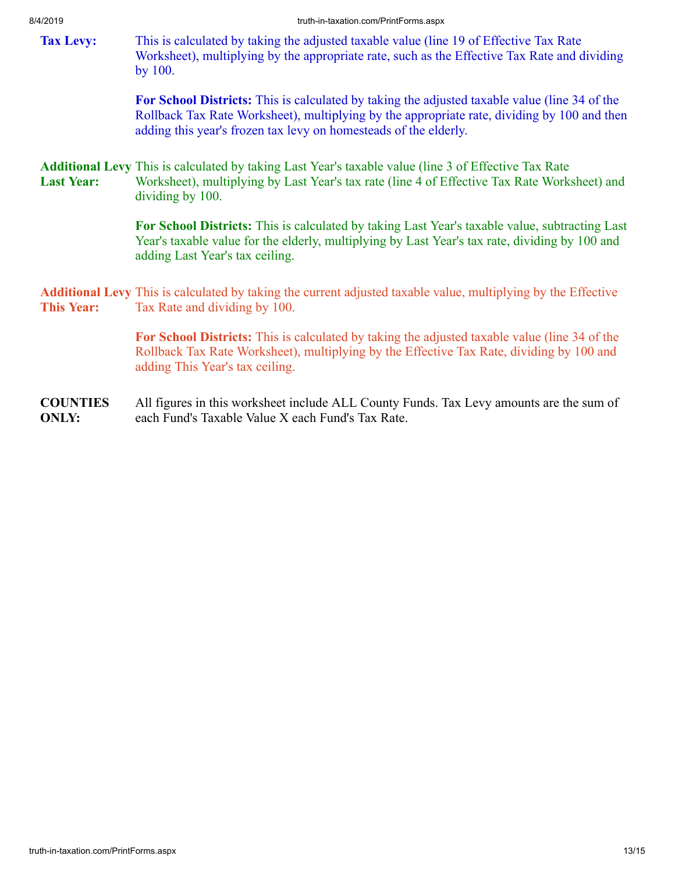<span id="page-12-1"></span><span id="page-12-0"></span>

| ᆔᆮᄓᆡ              | uuu-ili-laxalioittoitiin tiitu olitistaspa                                                                                                                                                                                                                              |
|-------------------|-------------------------------------------------------------------------------------------------------------------------------------------------------------------------------------------------------------------------------------------------------------------------|
| <b>Tax Levy:</b>  | This is calculated by taking the adjusted taxable value (line 19 of Effective Tax Rate)<br>Worksheet), multiplying by the appropriate rate, such as the Effective Tax Rate and dividing<br>by 100.                                                                      |
|                   | <b>For School Districts:</b> This is calculated by taking the adjusted taxable value (line 34 of the<br>Rollback Tax Rate Worksheet), multiplying by the appropriate rate, dividing by 100 and then<br>adding this year's frozen tax levy on homesteads of the elderly. |
| <b>Last Year:</b> | <b>Additional Levy</b> This is calculated by taking Last Year's taxable value (line 3 of Effective Tax Rate<br>Worksheet), multiplying by Last Year's tax rate (line 4 of Effective Tax Rate Worksheet) and<br>dividing by 100.                                         |
|                   | For School Districts: This is calculated by taking Last Year's taxable value, subtracting Last<br>Year's taxable value for the elderly, multiplying by Last Year's tax rate, dividing by 100 and<br>adding Last Year's tax ceiling.                                     |
| <b>This Year:</b> | <b>Additional Levy</b> This is calculated by taking the current adjusted taxable value, multiplying by the Effective<br>Tax Rate and dividing by 100.                                                                                                                   |

<span id="page-12-2"></span>**For School Districts:** This is calculated by taking the adjusted taxable value (line 34 of the Rollback Tax Rate Worksheet), multiplying by the Effective Tax Rate, dividing by 100 and adding This Year's tax ceiling.

**COUNTIES ONLY:** All figures in this worksheet include ALL County Funds. Tax Levy amounts are the sum of each Fund's Taxable Value X each Fund's Tax Rate.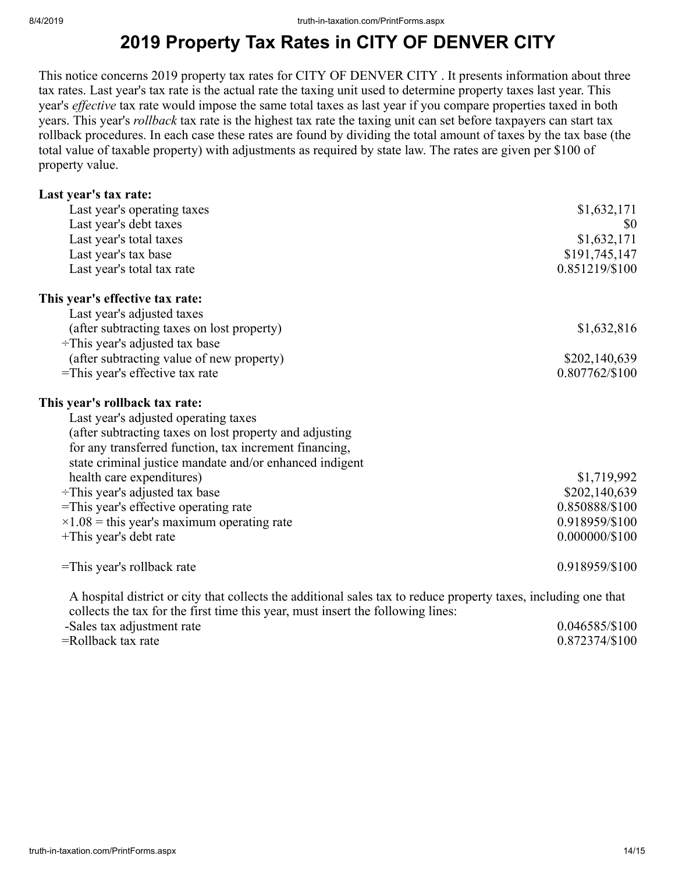## **2019 Property Tax Rates in CITY OF DENVER CITY**

This notice concerns 2019 property tax rates for CITY OF DENVER CITY . It presents information about three tax rates. Last year's tax rate is the actual rate the taxing unit used to determine property taxes last year. This year's *effective* tax rate would impose the same total taxes as last year if you compare properties taxed in both years. This year's *rollback* tax rate is the highest tax rate the taxing unit can set before taxpayers can start tax rollback procedures. In each case these rates are found by dividing the total amount of taxes by the tax base (the total value of taxable property) with adjustments as required by state law. The rates are given per \$100 of property value.

| Last year's tax rate:                                                                                                                                                                              |                  |
|----------------------------------------------------------------------------------------------------------------------------------------------------------------------------------------------------|------------------|
| Last year's operating taxes                                                                                                                                                                        | \$1,632,171      |
| Last year's debt taxes                                                                                                                                                                             | \$0              |
| Last year's total taxes                                                                                                                                                                            | \$1,632,171      |
| Last year's tax base                                                                                                                                                                               | \$191,745,147    |
| Last year's total tax rate                                                                                                                                                                         | 0.851219/\$100   |
| This year's effective tax rate:                                                                                                                                                                    |                  |
| Last year's adjusted taxes                                                                                                                                                                         |                  |
| (after subtracting taxes on lost property)                                                                                                                                                         | \$1,632,816      |
| $\div$ This year's adjusted tax base                                                                                                                                                               |                  |
| (after subtracting value of new property)                                                                                                                                                          | \$202,140,639    |
| =This year's effective tax rate                                                                                                                                                                    | 0.807762/\$100   |
| This year's rollback tax rate:                                                                                                                                                                     |                  |
| Last year's adjusted operating taxes                                                                                                                                                               |                  |
| (after subtracting taxes on lost property and adjusting                                                                                                                                            |                  |
| for any transferred function, tax increment financing,                                                                                                                                             |                  |
| state criminal justice mandate and/or enhanced indigent                                                                                                                                            |                  |
| health care expenditures)                                                                                                                                                                          | \$1,719,992      |
| $\div$ This year's adjusted tax base                                                                                                                                                               | \$202,140,639    |
| =This year's effective operating rate                                                                                                                                                              | 0.850888/\$100   |
| $\times$ 1.08 = this year's maximum operating rate                                                                                                                                                 | 0.918959/\$100   |
| +This year's debt rate                                                                                                                                                                             | $0.000000/\$100$ |
| =This year's rollback rate                                                                                                                                                                         | 0.918959/\$100   |
| A hospital district or city that collects the additional sales tax to reduce property taxes, including one that<br>collects the tax for the first time this year, must insert the following lines: |                  |
| -Sales tax adjustment rate                                                                                                                                                                         | 0.046585/\$100   |

=Rollback tax rate 0.872374/\$100